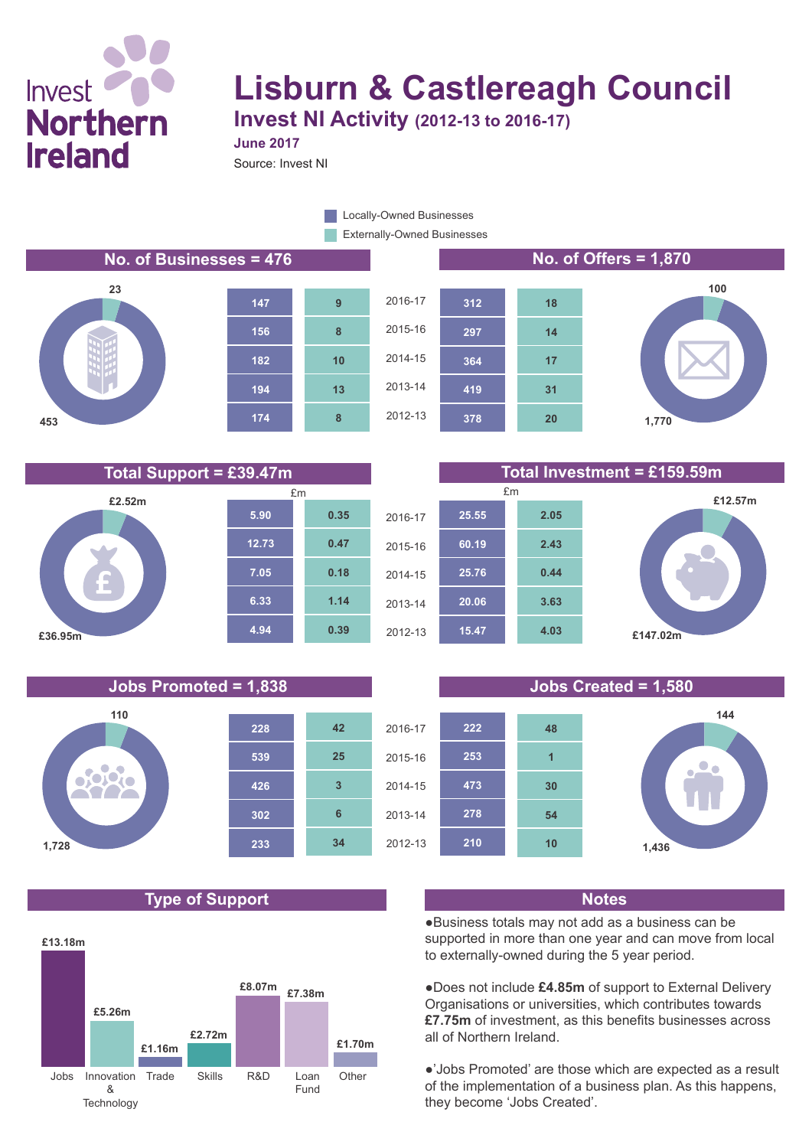# Invest **Northern Ireland**

# **Lisburn & Castlereagh Council**

**Invest NI Activity (2012-13 to 2016-17) June 2017**

Source: Invest NI

Externally-Owned Businesses Locally-Owned Businesses

### **No. of Businesses = 476 No. of Offers = 1,870**









## **Total Support = £39.47m Total Investment = £159.59m**

**20**

**31**

**17**

**14**

**18**



## **Jobs Promoted = 1,838 Jobs Created = 1,580**



## **Type of Support Notes**





●Business totals may not add as a business can be supported in more than one year and can move from local to externally-owned during the 5 year period.

●Does not include **£4.85m** of support to External Delivery Organisations or universities, which contributes towards **£7.75m** of investment, as this benefits businesses across all of Northern Ireland.

●'Jobs Promoted' are those which are expected as a result of the implementation of a business plan. As this happens, they become 'Jobs Created'.